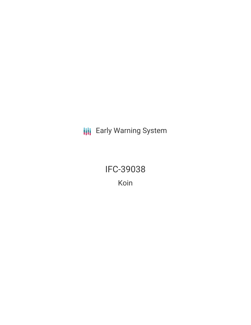**III** Early Warning System

IFC-39038 Koin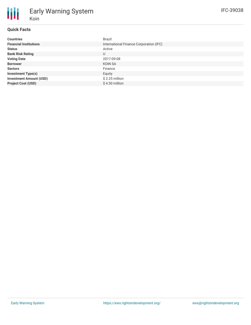### **Quick Facts**

Koin

Early Warning System

| <b>Countries</b>               | Brazil                                  |
|--------------------------------|-----------------------------------------|
| <b>Financial Institutions</b>  | International Finance Corporation (IFC) |
| <b>Status</b>                  | Active                                  |
| <b>Bank Risk Rating</b>        | U                                       |
| <b>Voting Date</b>             | 2017-09-08                              |
| <b>Borrower</b>                | KOIN SA                                 |
| <b>Sectors</b>                 | Finance                                 |
| <b>Investment Type(s)</b>      | Equity                                  |
| <b>Investment Amount (USD)</b> | \$2.25 million                          |
| <b>Project Cost (USD)</b>      | $$4.50$ million                         |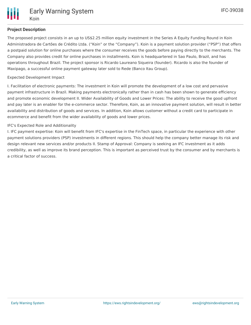

# **Project Description**

The proposed project consists in an up to US\$2.25 million equity investment in the Series A Equity Funding Round in Koin Administradora de Cartões de Crédito Ltda. ("Koin" or the "Company"). Koin is a payment solution provider ("PSP") that offers a postpaid solution for online purchases where the consumer receives the goods before paying directly to the merchants. The Company also provides credit for online purchases in installments. Koin is headquartered in Sao Paulo, Brazil, and has operations throughout Brazil. The project sponsor is Ricardo Laureano Siqueira (founder). Ricardo is also the founder of Maxipago, a successful online payment gateway later sold to Rede (Banco Itau Group).

## Expected Development Impact

I. Facilitation of electronic payments: The investment in Koin will promote the development of a low cost and pervasive payment infrastructure in Brazil. Making payments electronically rather than in cash has been shown to generate efficiency and promote economic development II. Wider Availability of Goods and Lower Prices: The ability to receive the good upfront and pay later is an enabler for the e-commerce sector. Therefore, Koin, as an innovative payment solution, will result in better availability and distribution of goods and services. In addition, Koin allows customer without a credit card to participate in ecommerce and benefit from the wider availability of goods and lower prices.

## IFC's Expected Role and Additionality

I. IFC payment expertise: Koin will benefit from IFC's expertise in the FinTech space, in particular the experience with other payment solutions providers (PSP) investments in different regions. This should help the company better manage its risk and design relevant new services and/or products II. Stamp of Approval: Company is seeking an IFC investment as it adds credibility, as well as improve its brand perception. This is important as perceived trust by the consumer and by merchants is a critical factor of success.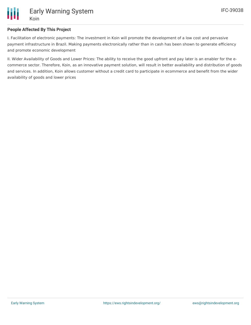

### **People Affected By This Project**

I. Facilitation of electronic payments: The investment in Koin will promote the development of a low cost and pervasive payment infrastructure in Brazil. Making payments electronically rather than in cash has been shown to generate efficiency and promote economic development

II. Wider Availability of Goods and Lower Prices: The ability to receive the good upfront and pay later is an enabler for the ecommerce sector. Therefore, Koin, as an innovative payment solution, will result in better availability and distribution of goods and services. In addition, Koin allows customer without a credit card to participate in ecommerce and benefit from the wider availability of goods and lower prices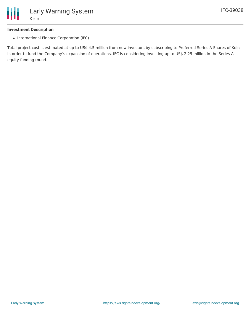

#### **Investment Description**

• International Finance Corporation (IFC)

Total project cost is estimated at up to US\$ 4.5 million from new investors by subscribing to Preferred Series A Shares of Koin in order to fund the Company's expansion of operations. IFC is considering investing up to US\$ 2.25 million in the Series A equity funding round.